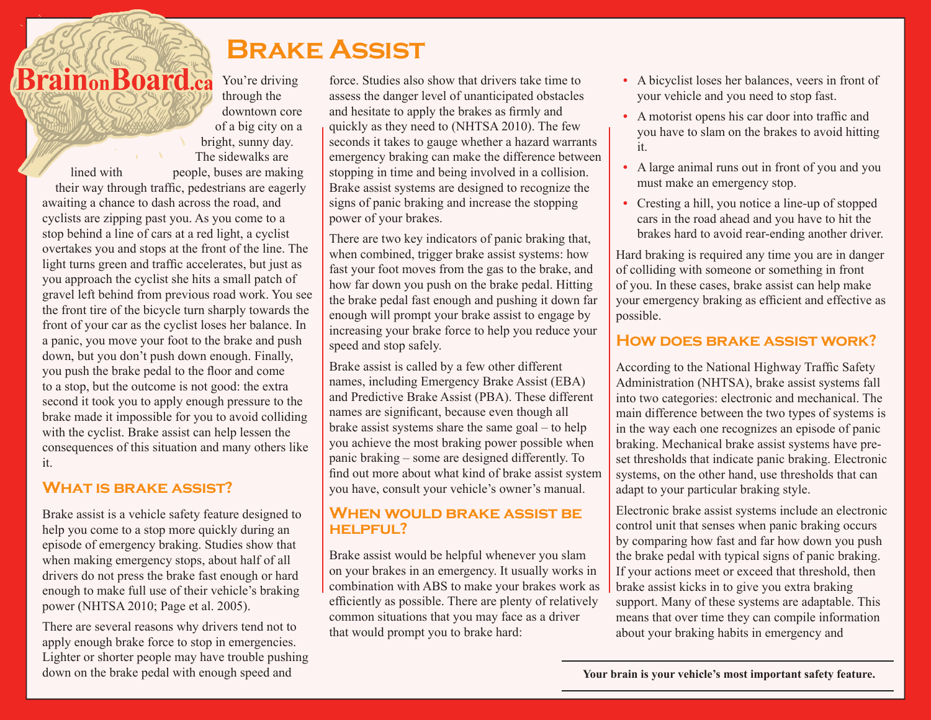# **Brake Assist**

**BrainonBoard.ca** You're driving through the downtown core of a big city on a bright, sunny day. The sidewalks are lined with people, buses are making their way through traffic, pedestrians are eagerly awaiting a chance to dash across the road, and cyclists are zipping past you. As you come to a stop behind a line of cars at a red light, a cyclist overtakes you and stops at the front of the line. The light turns green and traffic accelerates, but just as you approach the cyclist she hits a small patch of gravel left behind from previous road work. You see the front tire of the bicycle turn sharply towards the front of your car as the cyclist loses her balance. In a panic, you move your foot to the brake and push down, but you don't push down enough. Finally, you push the brake pedal to the floor and come to a stop, but the outcome is not good: the extra second it took you to apply enough pressure to the brake made it impossible for you to avoid colliding with the cyclist. Brake assist can help lessen the consequences of this situation and many others like

# **What is brake assist?**

it.

Brake assist is a vehicle safety feature designed to help you come to a stop more quickly during an episode of emergency braking. Studies show that when making emergency stops, about half of all drivers do not press the brake fast enough or hard enough to make full use of their vehicle's braking power (NHTSA 2010; Page et al. 2005).

There are several reasons why drivers tend not to apply enough brake force to stop in emergencies. Lighter or shorter people may have trouble pushing down on the brake pedal with enough speed and

force. Studies also show that drivers take time to assess the danger level of unanticipated obstacles and hesitate to apply the brakes as firmly and quickly as they need to (NHTSA 2010). The few seconds it takes to gauge whether a hazard warrants emergency braking can make the difference between stopping in time and being involved in a collision. Brake assist systems are designed to recognize the signs of panic braking and increase the stopping power of your brakes.

There are two key indicators of panic braking that, when combined, trigger brake assist systems: how fast your foot moves from the gas to the brake, and how far down you push on the brake pedal. Hitting the brake pedal fast enough and pushing it down far enough will prompt your brake assist to engage by increasing your brake force to help you reduce your speed and stop safely.

Brake assist is called by a few other different names, including Emergency Brake Assist (EBA) and Predictive Brake Assist (PBA). These different names are significant, because even though all brake assist systems share the same goal – to help you achieve the most braking power possible when panic braking – some are designed differently. To find out more about what kind of brake assist system you have, consult your vehicle's owner's manual.

# **WHEN WOULD BRAKE ASSIST BE helpful?**

Brake assist would be helpful whenever you slam on your brakes in an emergency. It usually works in combination with ABS to make your brakes work as efficiently as possible. There are plenty of relatively common situations that you may face as a driver that would prompt you to brake hard:

- **•** A bicyclist loses her balances, veers in front of your vehicle and you need to stop fast.
- **•** A motorist opens his car door into traffic and you have to slam on the brakes to avoid hitting it.
- **•** A large animal runs out in front of you and you must make an emergency stop.
- **•** Cresting a hill, you notice a line-up of stopped cars in the road ahead and you have to hit the brakes hard to avoid rear-ending another driver.

Hard braking is required any time you are in danger of colliding with someone or something in front of you. In these cases, brake assist can help make your emergency braking as efficient and effective as possible.

# **How does brake assist work?**

According to the National Highway Traffic Safety Administration (NHTSA), brake assist systems fall into two categories: electronic and mechanical. The main difference between the two types of systems is in the way each one recognizes an episode of panic braking. Mechanical brake assist systems have preset thresholds that indicate panic braking. Electronic systems, on the other hand, use thresholds that can adapt to your particular braking style.

Electronic brake assist systems include an electronic control unit that senses when panic braking occurs by comparing how fast and far how down you push the brake pedal with typical signs of panic braking. If your actions meet or exceed that threshold, then brake assist kicks in to give you extra braking support. Many of these systems are adaptable. This means that over time they can compile information about your braking habits in emergency and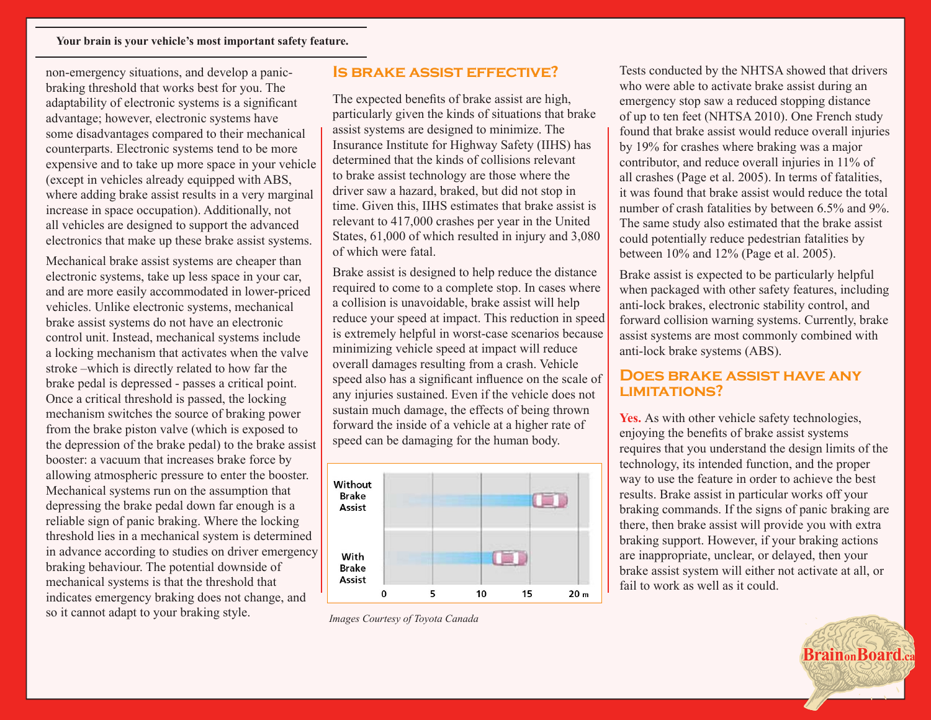#### **Your brain is your vehicle's most important safety feature.**

non-emergency situations, and develop a panicbraking threshold that works best for you. The adaptability of electronic systems is a significant advantage; however, electronic systems have some disadvantages compared to their mechanical counterparts. Electronic systems tend to be more expensive and to take up more space in your vehicle (except in vehicles already equipped with ABS, where adding brake assist results in a very marginal increase in space occupation). Additionally, not all vehicles are designed to support the advanced electronics that make up these brake assist systems.

Mechanical brake assist systems are cheaper than electronic systems, take up less space in your car, and are more easily accommodated in lower-priced vehicles. Unlike electronic systems, mechanical brake assist systems do not have an electronic control unit. Instead, mechanical systems include a locking mechanism that activates when the valve stroke –which is directly related to how far the brake pedal is depressed - passes a critical point. Once a critical threshold is passed, the locking mechanism switches the source of braking power from the brake piston valve (which is exposed to the depression of the brake pedal) to the brake assist booster: a vacuum that increases brake force by allowing atmospheric pressure to enter the booster. Mechanical systems run on the assumption that depressing the brake pedal down far enough is a reliable sign of panic braking. Where the locking threshold lies in a mechanical system is determined in advance according to studies on driver emergency braking behaviour. The potential downside of mechanical systems is that the threshold that indicates emergency braking does not change, and so it cannot adapt to your braking style.

### **Is brake assist effective?**

The expected benefits of brake assist are high, particularly given the kinds of situations that brake assist systems are designed to minimize. The Insurance Institute for Highway Safety (IIHS) has determined that the kinds of collisions relevant to brake assist technology are those where the driver saw a hazard, braked, but did not stop in time. Given this, IIHS estimates that brake assist is relevant to 417,000 crashes per year in the United States, 61,000 of which resulted in injury and 3,080 of which were fatal.

Brake assist is designed to help reduce the distance required to come to a complete stop. In cases where a collision is unavoidable, brake assist will help reduce your speed at impact. This reduction in speed is extremely helpful in worst-case scenarios because minimizing vehicle speed at impact will reduce overall damages resulting from a crash. Vehicle speed also has a significant influence on the scale of any injuries sustained. Even if the vehicle does not sustain much damage, the effects of being thrown forward the inside of a vehicle at a higher rate of speed can be damaging for the human body.



*Images Courtesy of Toyota Canada*

Tests conducted by the NHTSA showed that drivers who were able to activate brake assist during an emergency stop saw a reduced stopping distance of up to ten feet (NHTSA 2010). One French study found that brake assist would reduce overall injuries by 19% for crashes where braking was a major contributor, and reduce overall injuries in 11% of all crashes (Page et al. 2005). In terms of fatalities, it was found that brake assist would reduce the total number of crash fatalities by between 6.5% and 9%. The same study also estimated that the brake assist could potentially reduce pedestrian fatalities by between 10% and 12% (Page et al. 2005).

Brake assist is expected to be particularly helpful when packaged with other safety features, including anti-lock brakes, electronic stability control, and forward collision warning systems. Currently, brake assist systems are most commonly combined with anti-lock brake systems (ABS).

### **Does brake assist have any limitations?**

Yes. As with other vehicle safety technologies, enjoying the benefits of brake assist systems requires that you understand the design limits of the technology, its intended function, and the proper way to use the feature in order to achieve the best results. Brake assist in particular works off your braking commands. If the signs of panic braking are there, then brake assist will provide you with extra braking support. However, if your braking actions are inappropriate, unclear, or delayed, then your brake assist system will either not activate at all, or fail to work as well as it could.

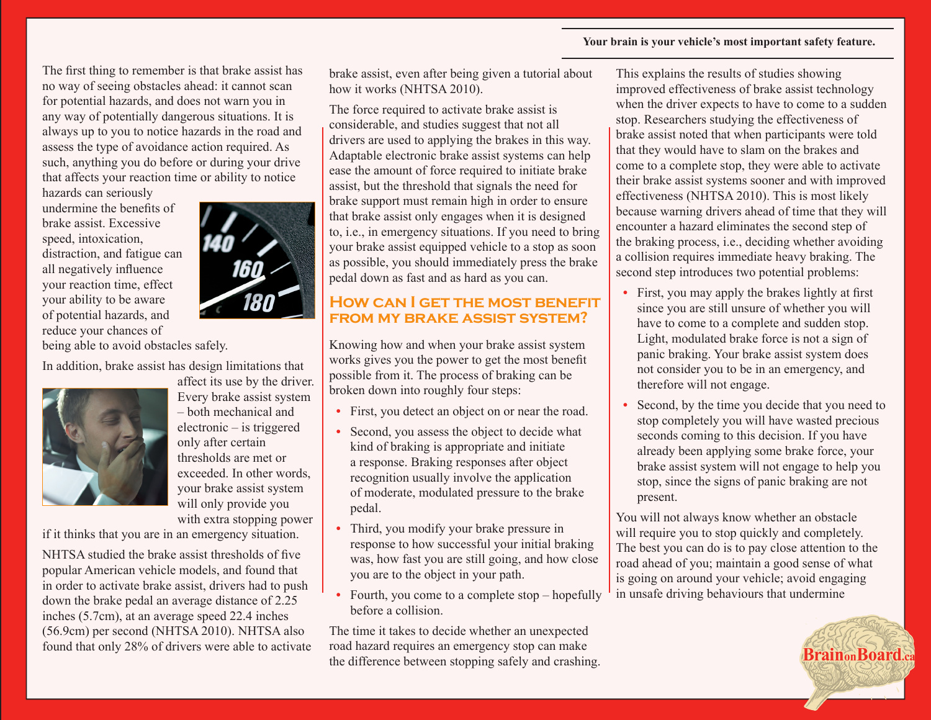#### **Your brain is your vehicle's most important safety feature.**

The first thing to remember is that brake assist has no way of seeing obstacles ahead: it cannot scan for potential hazards, and does not warn you in any way of potentially dangerous situations. It is always up to you to notice hazards in the road and assess the type of avoidance action required. As such, anything you do before or during your drive that affects your reaction time or ability to notice

hazards can seriously undermine the benefits of brake assist. Excessive speed, intoxication, distraction, and fatigue can all negatively influence your reaction time, effect your ability to be aware of potential hazards, and reduce your chances of



being able to avoid obstacles safely.

In addition, brake assist has design limitations that



affect its use by the driver. Every brake assist system – both mechanical and electronic – is triggered only after certain thresholds are met or exceeded. In other words, your brake assist system will only provide you with extra stopping power

if it thinks that you are in an emergency situation.

NHTSA studied the brake assist thresholds of five popular American vehicle models, and found that in order to activate brake assist, drivers had to push down the brake pedal an average distance of 2.25 inches (5.7cm), at an average speed 22.4 inches (56.9cm) per second (NHTSA 2010). NHTSA also found that only 28% of drivers were able to activate brake assist, even after being given a tutorial about how it works (NHTSA 2010).

The force required to activate brake assist is considerable, and studies suggest that not all drivers are used to applying the brakes in this way. Adaptable electronic brake assist systems can help ease the amount of force required to initiate brake assist, but the threshold that signals the need for brake support must remain high in order to ensure that brake assist only engages when it is designed to, i.e., in emergency situations. If you need to bring your brake assist equipped vehicle to a stop as soon as possible, you should immediately press the brake pedal down as fast and as hard as you can.

### **How can I get the most benefit from my brake assist system?**

Knowing how and when your brake assist system works gives you the power to get the most benefit possible from it. The process of braking can be broken down into roughly four steps:

- First, you detect an object on or near the road.
- Second, you assess the object to decide what kind of braking is appropriate and initiate a response. Braking responses after object recognition usually involve the application of moderate, modulated pressure to the brake pedal.
- **•** Third, you modify your brake pressure in response to how successful your initial braking was, how fast you are still going, and how close you are to the object in your path.
- Fourth, you come to a complete stop hopefully before a collision.

The time it takes to decide whether an unexpected road hazard requires an emergency stop can make the difference between stopping safely and crashing. This explains the results of studies showing improved effectiveness of brake assist technology when the driver expects to have to come to a sudden stop. Researchers studying the effectiveness of brake assist noted that when participants were told that they would have to slam on the brakes and come to a complete stop, they were able to activate their brake assist systems sooner and with improved effectiveness (NHTSA 2010). This is most likely because warning drivers ahead of time that they will encounter a hazard eliminates the second step of the braking process, i.e., deciding whether avoiding a collision requires immediate heavy braking. The second step introduces two potential problems:

- **•** First, you may apply the brakes lightly at first since you are still unsure of whether you will have to come to a complete and sudden stop. Light, modulated brake force is not a sign of panic braking. Your brake assist system does not consider you to be in an emergency, and therefore will not engage.
- Second, by the time you decide that you need to stop completely you will have wasted precious seconds coming to this decision. If you have already been applying some brake force, your brake assist system will not engage to help you stop, since the signs of panic braking are not present.

You will not always know whether an obstacle will require you to stop quickly and completely. The best you can do is to pay close attention to the road ahead of you; maintain a good sense of what is going on around your vehicle; avoid engaging in unsafe driving behaviours that undermine